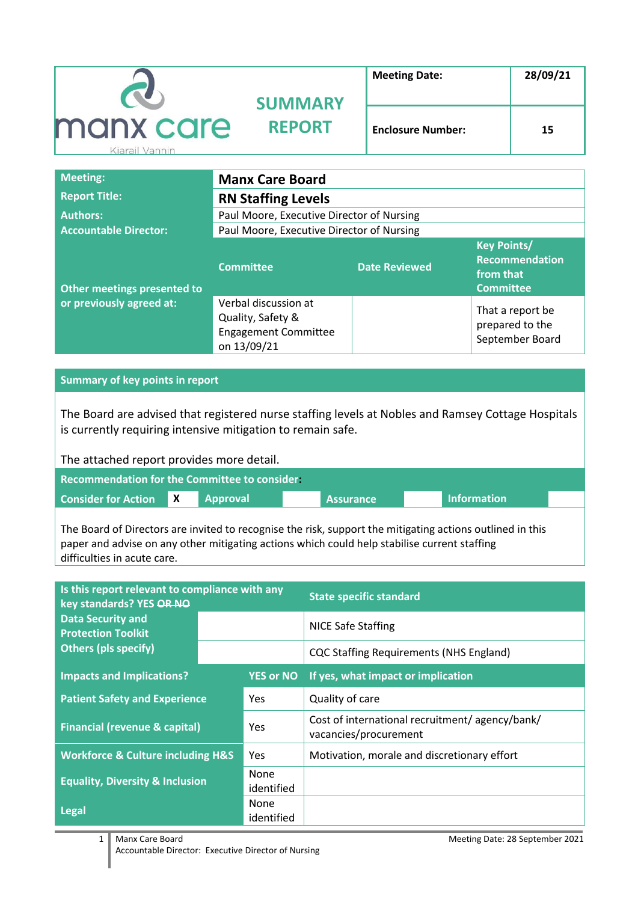|                             | <b>SUMMARY</b> | <b>Meeting Date:</b>     | 28/09/21 |
|-----------------------------|----------------|--------------------------|----------|
| manx care<br>Kiarail Vannin | <b>REPORT</b>  | <b>Enclosure Number:</b> | 15       |

| <b>Meeting:</b>              | <b>Manx Care Board</b>                                                                  |                      |                                                                              |
|------------------------------|-----------------------------------------------------------------------------------------|----------------------|------------------------------------------------------------------------------|
| <b>Report Title:</b>         | <b>RN Staffing Levels</b>                                                               |                      |                                                                              |
| <b>Authors:</b>              | Paul Moore, Executive Director of Nursing                                               |                      |                                                                              |
| <b>Accountable Director:</b> | Paul Moore, Executive Director of Nursing                                               |                      |                                                                              |
| Other meetings presented to  | <b>Committee</b>                                                                        | <b>Date Reviewed</b> | <b>Key Points/</b><br><b>Recommendation</b><br>from that<br><b>Committee</b> |
| or previously agreed at:     | Verbal discussion at<br>Quality, Safety &<br><b>Engagement Committee</b><br>on 13/09/21 |                      | That a report be<br>prepared to the<br>September Board                       |

**Summary of key points in report**

The Board are advised that registered nurse staffing levels at Nobles and Ramsey Cottage Hospitals is currently requiring intensive mitigation to remain safe.

The attached report provides more detail.

| <b>Recommendation for the Committee to consider.</b> |              |                 |  |                  |  |                    |  |
|------------------------------------------------------|--------------|-----------------|--|------------------|--|--------------------|--|
| <b>Consider for Action</b>                           | $\mathbf{X}$ | <b>Approval</b> |  | <b>Assurance</b> |  | <b>Information</b> |  |

The Board of Directors are invited to recognise the risk, support the mitigating actions outlined in this paper and advise on any other mitigating actions which could help stabilise current staffing difficulties in acute care.

| Is this report relevant to compliance with any<br>key standards? YES OR NO |  |                           | <b>State specific standard</b>                                          |  |
|----------------------------------------------------------------------------|--|---------------------------|-------------------------------------------------------------------------|--|
| <b>Data Security and</b><br><b>Protection Toolkit</b>                      |  |                           | NICE Safe Staffing                                                      |  |
| <b>Others (pls specify)</b>                                                |  |                           | <b>CQC Staffing Requirements (NHS England)</b>                          |  |
| <b>Impacts and Implications?</b>                                           |  | <b>YES or NO</b>          | If yes, what impact or implication                                      |  |
| <b>Patient Safety and Experience</b>                                       |  | <b>Yes</b>                | Quality of care                                                         |  |
| <b>Financial (revenue &amp; capital)</b>                                   |  | Yes                       | Cost of international recruitment/agency/bank/<br>vacancies/procurement |  |
| <b>Workforce &amp; Culture including H&amp;S</b>                           |  | Yes                       | Motivation, morale and discretionary effort                             |  |
| <b>Equality, Diversity &amp; Inclusion</b>                                 |  | <b>None</b><br>identified |                                                                         |  |
| Legal                                                                      |  | <b>None</b><br>identified |                                                                         |  |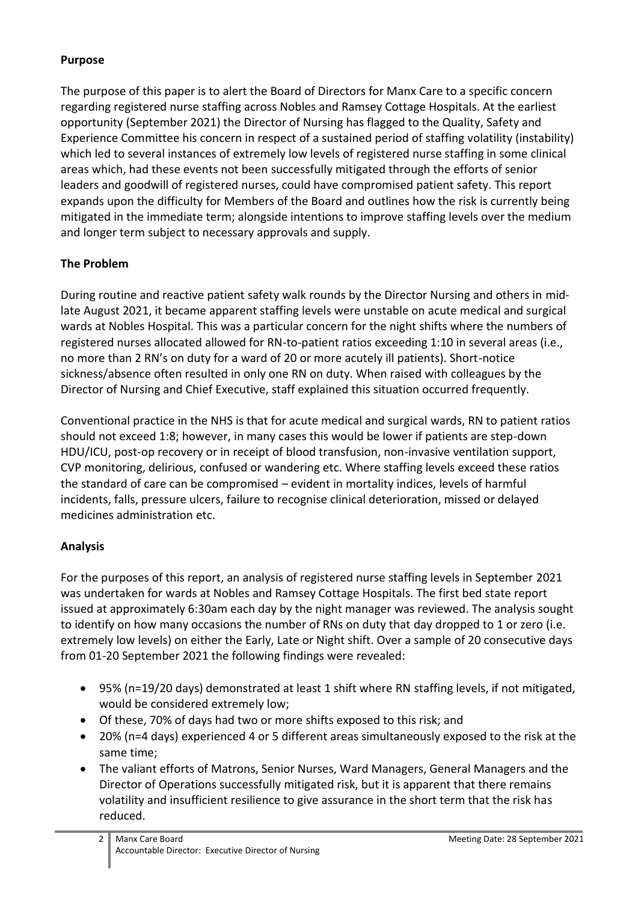### **Purpose**

The purpose of this paper is to alert the Board of Directors for Manx Care to a specific concern regarding registered nurse staffing across Nobles and Ramsey Cottage Hospitals. At the earliest opportunity (September 2021) the Director of Nursing has flagged to the Quality, Safety and Experience Committee his concern in respect of a sustained period of staffing volatility (instability) which led to several instances of extremely low levels of registered nurse staffing in some clinical areas which, had these events not been successfully mitigated through the efforts of senior leaders and goodwill of registered nurses, could have compromised patient safety. This report expands upon the difficulty for Members of the Board and outlines how the risk is currently being mitigated in the immediate term; alongside intentions to improve staffing levels over the medium and longer term subject to necessary approvals and supply.

# **The Problem**

During routine and reactive patient safety walk rounds by the Director Nursing and others in midlate August 2021, it became apparent staffing levels were unstable on acute medical and surgical wards at Nobles Hospital. This was a particular concern for the night shifts where the numbers of registered nurses allocated allowed for RN-to-patient ratios exceeding 1:10 in several areas (i.e., no more than 2 RN's on duty for a ward of 20 or more acutely ill patients). Short-notice sickness/absence often resulted in only one RN on duty. When raised with colleagues by the Director of Nursing and Chief Executive, staff explained this situation occurred frequently.

Conventional practice in the NHS is that for acute medical and surgical wards, RN to patient ratios should not exceed 1:8; however, in many cases this would be lower if patients are step-down HDU/ICU, post-op recovery or in receipt of blood transfusion, non-invasive ventilation support, CVP monitoring, delirious, confused or wandering etc. Where staffing levels exceed these ratios the standard of care can be compromised – evident in mortality indices, levels of harmful incidents, falls, pressure ulcers, failure to recognise clinical deterioration, missed or delayed medicines administration etc.

# **Analysis**

For the purposes of this report, an analysis of registered nurse staffing levels in September 2021 was undertaken for wards at Nobles and Ramsey Cottage Hospitals. The first bed state report issued at approximately 6:30am each day by the night manager was reviewed. The analysis sought to identify on how many occasions the number of RNs on duty that day dropped to 1 or zero (i.e. extremely low levels) on either the Early, Late or Night shift. Over a sample of 20 consecutive days from 01-20 September 2021 the following findings were revealed:

- 95% (n=19/20 days) demonstrated at least 1 shift where RN staffing levels, if not mitigated, would be considered extremely low;
- Of these, 70% of days had two or more shifts exposed to this risk; and
- 20% (n=4 days) experienced 4 or 5 different areas simultaneously exposed to the risk at the same time;
- The valiant efforts of Matrons, Senior Nurses, Ward Managers, General Managers and the Director of Operations successfully mitigated risk, but it is apparent that there remains volatility and insufficient resilience to give assurance in the short term that the risk has reduced.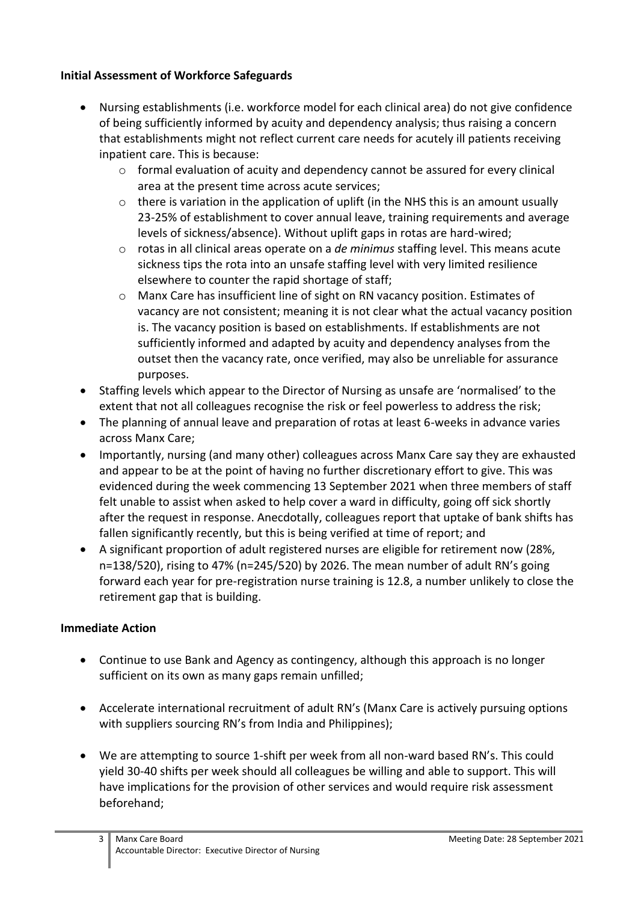## **Initial Assessment of Workforce Safeguards**

- Nursing establishments (i.e. workforce model for each clinical area) do not give confidence of being sufficiently informed by acuity and dependency analysis; thus raising a concern that establishments might not reflect current care needs for acutely ill patients receiving inpatient care. This is because:
	- o formal evaluation of acuity and dependency cannot be assured for every clinical area at the present time across acute services;
	- $\circ$  there is variation in the application of uplift (in the NHS this is an amount usually 23-25% of establishment to cover annual leave, training requirements and average levels of sickness/absence). Without uplift gaps in rotas are hard-wired;
	- o rotas in all clinical areas operate on a *de minimus* staffing level. This means acute sickness tips the rota into an unsafe staffing level with very limited resilience elsewhere to counter the rapid shortage of staff;
	- o Manx Care has insufficient line of sight on RN vacancy position. Estimates of vacancy are not consistent; meaning it is not clear what the actual vacancy position is. The vacancy position is based on establishments. If establishments are not sufficiently informed and adapted by acuity and dependency analyses from the outset then the vacancy rate, once verified, may also be unreliable for assurance purposes.
- Staffing levels which appear to the Director of Nursing as unsafe are 'normalised' to the extent that not all colleagues recognise the risk or feel powerless to address the risk;
- The planning of annual leave and preparation of rotas at least 6-weeks in advance varies across Manx Care;
- Importantly, nursing (and many other) colleagues across Manx Care say they are exhausted and appear to be at the point of having no further discretionary effort to give. This was evidenced during the week commencing 13 September 2021 when three members of staff felt unable to assist when asked to help cover a ward in difficulty, going off sick shortly after the request in response. Anecdotally, colleagues report that uptake of bank shifts has fallen significantly recently, but this is being verified at time of report; and
- A significant proportion of adult registered nurses are eligible for retirement now (28%, n=138/520), rising to 47% (n=245/520) by 2026. The mean number of adult RN's going forward each year for pre-registration nurse training is 12.8, a number unlikely to close the retirement gap that is building.

#### **Immediate Action**

- Continue to use Bank and Agency as contingency, although this approach is no longer sufficient on its own as many gaps remain unfilled;
- Accelerate international recruitment of adult RN's (Manx Care is actively pursuing options with suppliers sourcing RN's from India and Philippines);
- We are attempting to source 1-shift per week from all non-ward based RN's. This could yield 30-40 shifts per week should all colleagues be willing and able to support. This will have implications for the provision of other services and would require risk assessment beforehand;